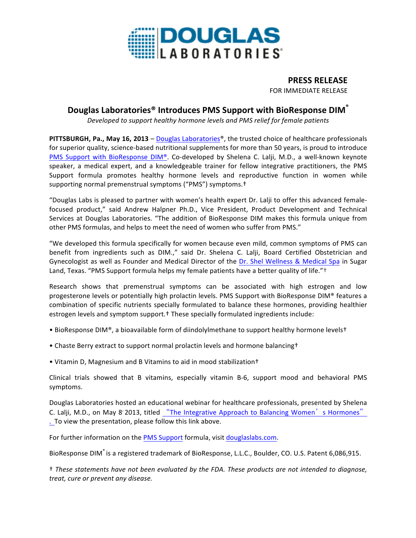

## **PRESS RELEASE** FOR IMMEDIATE RELEASE

# **Douglas Laboratories® Introduces PMS Support with BioResponse DIM®**

*Developed to support healthy hormone levels and PMS relief for female patients*

**PITTSBURGH, Pa., May 16, 2013** – Douglas Laboratories<sup>®</sup>, the trusted choice of healthcare professionals for superior quality, science-based nutritional supplements for more than 50 years, is proud to introduce PMS Support with BioResponse DIM®. Co-developed by Shelena C. Lalji, M.D., a well-known keynote speaker, a medical expert, and a knowledgeable trainer for fellow integrative practitioners, the PMS Support formula promotes healthy hormone levels and reproductive function in women while supporting normal premenstrual symptoms ("PMS") symptoms.<sup>†</sup>

"Douglas Labs is pleased to partner with women's health expert Dr. Lalji to offer this advanced femalefocused product," said Andrew Halpner Ph.D., Vice President, Product Development and Technical Services at Douglas Laboratories. "The addition of BioResponse DIM makes this formula unique from other PMS formulas, and helps to meet the need of women who suffer from PMS."

"We developed this formula specifically for women because even mild, common symptoms of PMS can benefit from ingredients such as DIM.," said Dr. Shelena C. Lalji, Board Certified Obstetrician and Gynecologist as well as Founder and Medical Director of the Dr. Shel Wellness & Medical Spa in Sugar Land, Texas. "PMS Support formula helps my female patients have a better quality of life."<sup>+</sup>

Research shows that premenstrual symptoms can be associated with high estrogen and low progesterone levels or potentially high prolactin levels. PMS Support with BioResponse DIM® features a combination of specific nutrients specially formulated to balance these hormones, providing healthier estrogen levels and symptom support.<sup>†</sup> These specially formulated ingredients include:

- BioResponse DIM®, a bioavailable form of diindolylmethane to support healthy hormone levelst
- Chaste Berry extract to support normal prolactin levels and hormone balancing<sup>+</sup>
- Vitamin D, Magnesium and B Vitamins to aid in mood stabilization<sup>†</sup>

Clinical trials showed that B vitamins, especially vitamin B-6, support mood and behavioral PMS symptoms. 

Douglas Laboratories hosted an educational webinar for healthcare professionals, presented by Shelena C. Lalji, M.D., on May 8' 2013, titled "The Integrative Approach to Balancing Women's Hormones" . To view the presentation, please follow this link above.

For further information on the PMS Support formula, visit douglaslabs.com.

BioResponse DIM® is a registered trademark of BioResponse, L.L.C., Boulder, CO. U.S. Patent 6,086,915.

† *These statements have not been evaluated by the FDA. These products are not intended to diagnose, treat, cure or prevent any disease.*